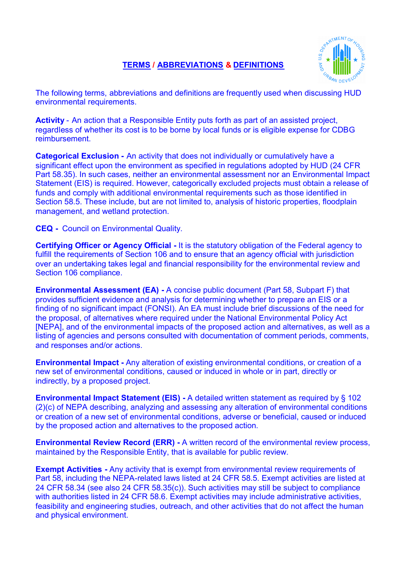## **TERMS / ABBREVIATIONS & DEFINITIONS**



The following terms, abbreviations and definitions are frequently used when discussing HUD environmental requirements.

**Activity** - An action that a Responsible Entity puts forth as part of an assisted project, regardless of whether its cost is to be borne by local funds or is eligible expense for CDBG reimbursement.

**Categorical Exclusion -** An activity that does not individually or cumulatively have a significant effect upon the environment as specified in regulations adopted by HUD (24 CFR Part 58.35). In such cases, neither an environmental assessment nor an Environmental Impact Statement (EIS) is required. However, categorically excluded projects must obtain a release of funds and comply with additional environmental requirements such as those identified in Section 58.5. These include, but are not limited to, analysis of historic properties, floodplain management, and wetland protection.

**CEQ -** Council on Environmental Quality.

**Certifying Officer or Agency Official -** It is the statutory obligation of the Federal agency to fulfill the requirements of Section 106 and to ensure that an agency official with jurisdiction over an undertaking takes legal and financial responsibility for the environmental review and Section 106 compliance.

**Environmental Assessment (EA) -** A concise public document (Part 58, Subpart F) that provides sufficient evidence and analysis for determining whether to prepare an EIS or a finding of no significant impact (FONSI). An EA must include brief discussions of the need for the proposal, of alternatives where required under the National Environmental Policy Act [NEPA], and of the environmental impacts of the proposed action and alternatives, as well as a listing of agencies and persons consulted with documentation of comment periods, comments, and responses and/or actions.

**Environmental Impact -** Any alteration of existing environmental conditions, or creation of a new set of environmental conditions, caused or induced in whole or in part, directly or indirectly, by a proposed project.

**Environmental Impact Statement (EIS) -** A detailed written statement as required by § 102 (2)(c) of NEPA describing, analyzing and assessing any alteration of environmental conditions or creation of a new set of environmental conditions, adverse or beneficial, caused or induced by the proposed action and alternatives to the proposed action.

**Environmental Review Record (ERR) -** A written record of the environmental review process, maintained by the Responsible Entity, that is available for public review.

**Exempt Activities -** Any activity that is exempt from environmental review requirements of Part 58, including the NEPA-related laws listed at 24 CFR 58.5. Exempt activities are listed at 24 CFR 58.34 (see also 24 CFR 58.35(c)). Such activities may still be subject to compliance with authorities listed in 24 CFR 58.6. Exempt activities may include administrative activities, feasibility and engineering studies, outreach, and other activities that do not affect the human and physical environment.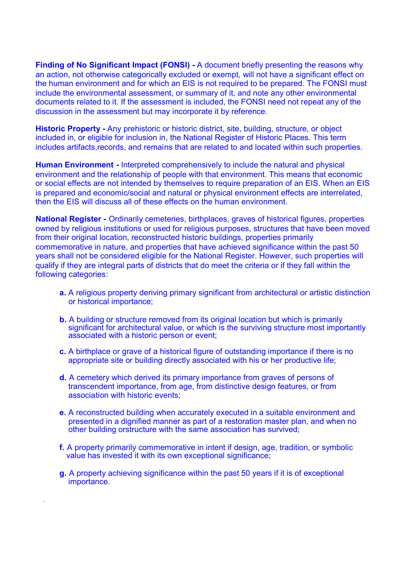**Finding of No Significant Impact (FONSI) -** A document briefly presenting the reasons why an action, not otherwise categorically excluded or exempt, will not have a significant effect on the human environment and for which an EIS is not required to be prepared. The FONSI must include the environmental assessment, or summary of it, and note any other environmental documents related to it. If the assessment is included, the FONSI need not repeat any of the discussion in the assessment but may incorporate it by reference.

**Historic Property -** Any prehistoric or historic district, site, building, structure, or object included in, or eligible for inclusion in, the National Register of Historic Places. This term includes artifacts,records, and remains that are related to and located within such properties.

**Human Environment -** Interpreted comprehensively to include the natural and physical environment and the relationship of people with that environment. This means that economic or social effects are not intended by themselves to require preparation of an EIS. When an EIS is prepared and economic/social and natural or physical environment effects are interrelated, then the EIS will discuss all of these effects on the human environment.

**National Register -** Ordinarily cemeteries, birthplaces, graves of historical figures, properties owned by religious institutions or used for religious purposes, structures that have been moved from their original location, reconstructed historic buildings, properties primarily commemorative in nature, and properties that have achieved significance within the past 50 years shall not be considered eligible for the National Register. However, such properties will qualify if they are integral parts of districts that do meet the criteria or if they fall within the following categories:

- **a.** A religious property deriving primary significant from architectural or artistic distinction or historical importance;
- **b.** A building or structure removed from its original location but which is primarily significant for architectural value, or which is the surviving structure most importantly associated with a historic person or event;
- **c.** A birthplace or grave of a historical figure of outstanding importance if there is no appropriate site or building directly associated with his or her productive life;
- **d.** A cemetery which derived its primary importance from graves of persons of transcendent importance, from age, from distinctive design features, or from association with historic events;
- **e.** A reconstructed building when accurately executed in a suitable environment and presented in a dignified manner as part of a restoration master plan, and when no other building orstructure with the same association has survived;
- **f.** A property primarily commemorative in intent if design, age, tradition, or symbolic value has invested it with its own exceptional significance;
- **g.** A property achieving significance within the past 50 years if it is of exceptional importance.